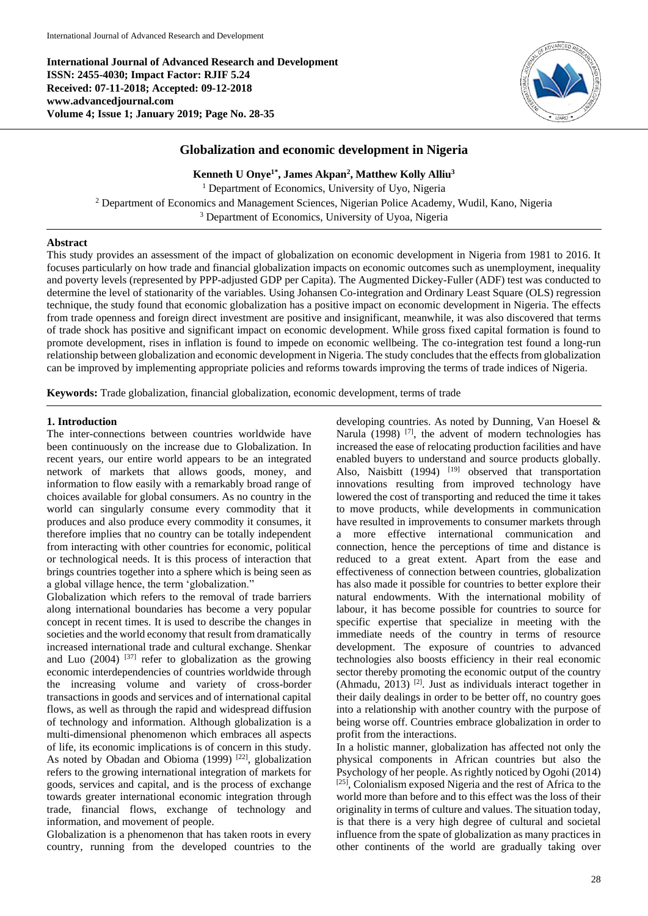**International Journal of Advanced Research and Development ISSN: 2455-4030; Impact Factor: RJIF 5.24 Received: 07-11-2018; Accepted: 09-12-2018 www.advancedjournal.com Volume 4; Issue 1; January 2019; Page No. 28-35**



# **Globalization and economic development in Nigeria**

**Kenneth U Onye1\* , James Akpan<sup>2</sup> , Matthew Kolly Alliu<sup>3</sup>**

<sup>1</sup> Department of Economics, University of Uyo, Nigeria <sup>2</sup> Department of Economics and Management Sciences, Nigerian Police Academy, Wudil, Kano, Nigeria <sup>3</sup> Department of Economics, University of Uyoa, Nigeria

## **Abstract**

This study provides an assessment of the impact of globalization on economic development in Nigeria from 1981 to 2016. It focuses particularly on how trade and financial globalization impacts on economic outcomes such as unemployment, inequality and poverty levels (represented by PPP-adjusted GDP per Capita). The Augmented Dickey-Fuller (ADF) test was conducted to determine the level of stationarity of the variables. Using Johansen Co-integration and Ordinary Least Square (OLS) regression technique, the study found that economic globalization has a positive impact on economic development in Nigeria. The effects from trade openness and foreign direct investment are positive and insignificant, meanwhile, it was also discovered that terms of trade shock has positive and significant impact on economic development. While gross fixed capital formation is found to promote development, rises in inflation is found to impede on economic wellbeing. The co-integration test found a long-run relationship between globalization and economic development in Nigeria. The study concludes that the effects from globalization can be improved by implementing appropriate policies and reforms towards improving the terms of trade indices of Nigeria.

**Keywords:** Trade globalization, financial globalization, economic development, terms of trade

## **1. Introduction**

The inter-connections between countries worldwide have been continuously on the increase due to Globalization. In recent years, our entire world appears to be an integrated network of markets that allows goods, money, and information to flow easily with a remarkably broad range of choices available for global consumers. As no country in the world can singularly consume every commodity that it produces and also produce every commodity it consumes, it therefore implies that no country can be totally independent from interacting with other countries for economic, political or technological needs. It is this process of interaction that brings countries together into a sphere which is being seen as a global village hence, the term 'globalization."

Globalization which refers to the removal of trade barriers along international boundaries has become a very popular concept in recent times. It is used to describe the changes in societies and the world economy that result from dramatically increased international trade and cultural exchange. Shenkar and Luo  $(2004)$  <sup>[37]</sup> refer to globalization as the growing economic interdependencies of countries worldwide through the increasing volume and variety of cross-border transactions in goods and services and of international capital flows, as well as through the rapid and widespread diffusion of technology and information. Although globalization is a multi-dimensional phenomenon which embraces all aspects of life, its economic implications is of concern in this study. As noted by Obadan and Obioma (1999) <sup>[22]</sup>, globalization refers to the growing international integration of markets for goods, services and capital, and is the process of exchange towards greater international economic integration through trade, financial flows, exchange of technology and information, and movement of people.

Globalization is a phenomenon that has taken roots in every country, running from the developed countries to the

developing countries. As noted by Dunning, Van Hoesel & Narula  $(1998)$  <sup>[7]</sup>, the advent of modern technologies has increased the ease of relocating production facilities and have enabled buyers to understand and source products globally. Also, Naisbitt  $(1994)$ <sup>[19]</sup> observed that transportation innovations resulting from improved technology have lowered the cost of transporting and reduced the time it takes to move products, while developments in communication have resulted in improvements to consumer markets through a more effective international communication and connection, hence the perceptions of time and distance is reduced to a great extent. Apart from the ease and effectiveness of connection between countries, globalization has also made it possible for countries to better explore their natural endowments. With the international mobility of labour, it has become possible for countries to source for specific expertise that specialize in meeting with the immediate needs of the country in terms of resource development. The exposure of countries to advanced technologies also boosts efficiency in their real economic sector thereby promoting the economic output of the country (Ahmadu, 2013) [2]. Just as individuals interact together in their daily dealings in order to be better off, no country goes into a relationship with another country with the purpose of being worse off. Countries embrace globalization in order to profit from the interactions.

In a holistic manner, globalization has affected not only the physical components in African countries but also the Psychology of her people. As rightly noticed by Ogohi (2014) [25], Colonialism exposed Nigeria and the rest of Africa to the world more than before and to this effect was the loss of their originality in terms of culture and values. The situation today, is that there is a very high degree of cultural and societal influence from the spate of globalization as many practices in other continents of the world are gradually taking over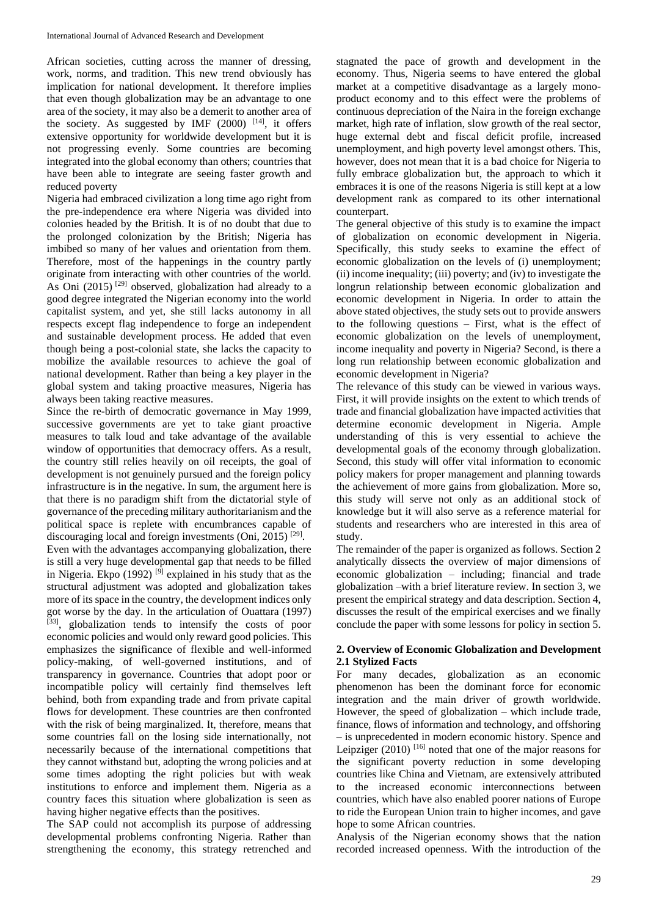African societies, cutting across the manner of dressing, work, norms, and tradition. This new trend obviously has implication for national development. It therefore implies that even though globalization may be an advantage to one area of the society, it may also be a demerit to another area of the society. As suggested by IMF  $(2000)$  <sup>[14]</sup>, it offers extensive opportunity for worldwide development but it is not progressing evenly. Some countries are becoming integrated into the global economy than others; countries that have been able to integrate are seeing faster growth and reduced poverty

Nigeria had embraced civilization a long time ago right from the pre-independence era where Nigeria was divided into colonies headed by the British. It is of no doubt that due to the prolonged colonization by the British; Nigeria has imbibed so many of her values and orientation from them. Therefore, most of the happenings in the country partly originate from interacting with other countries of the world. As Oni  $(2015)$ <sup>[29]</sup> observed, globalization had already to a good degree integrated the Nigerian economy into the world capitalist system, and yet, she still lacks autonomy in all respects except flag independence to forge an independent and sustainable development process. He added that even though being a post-colonial state, she lacks the capacity to mobilize the available resources to achieve the goal of national development. Rather than being a key player in the global system and taking proactive measures, Nigeria has always been taking reactive measures.

Since the re-birth of democratic governance in May 1999, successive governments are yet to take giant proactive measures to talk loud and take advantage of the available window of opportunities that democracy offers. As a result, the country still relies heavily on oil receipts, the goal of development is not genuinely pursued and the foreign policy infrastructure is in the negative. In sum, the argument here is that there is no paradigm shift from the dictatorial style of governance of the preceding military authoritarianism and the political space is replete with encumbrances capable of discouraging local and foreign investments (Oni, 2015)<sup>[29]</sup>.

Even with the advantages accompanying globalization, there is still a very huge developmental gap that needs to be filled in Nigeria. Ekpo (1992)  $^{[9]}$  explained in his study that as the structural adjustment was adopted and globalization takes more of its space in the country, the development indices only got worse by the day. In the articulation of Ouattara (1997) [33], globalization tends to intensify the costs of poor economic policies and would only reward good policies. This emphasizes the significance of flexible and well-informed policy-making, of well-governed institutions, and of transparency in governance. Countries that adopt poor or incompatible policy will certainly find themselves left behind, both from expanding trade and from private capital flows for development. These countries are then confronted with the risk of being marginalized. It, therefore, means that some countries fall on the losing side internationally, not necessarily because of the international competitions that they cannot withstand but, adopting the wrong policies and at some times adopting the right policies but with weak institutions to enforce and implement them. Nigeria as a country faces this situation where globalization is seen as having higher negative effects than the positives.

The SAP could not accomplish its purpose of addressing developmental problems confronting Nigeria. Rather than strengthening the economy, this strategy retrenched and

stagnated the pace of growth and development in the economy. Thus, Nigeria seems to have entered the global market at a competitive disadvantage as a largely monoproduct economy and to this effect were the problems of continuous depreciation of the Naira in the foreign exchange market, high rate of inflation, slow growth of the real sector, huge external debt and fiscal deficit profile, increased unemployment, and high poverty level amongst others. This, however, does not mean that it is a bad choice for Nigeria to fully embrace globalization but, the approach to which it embraces it is one of the reasons Nigeria is still kept at a low development rank as compared to its other international counterpart.

The general objective of this study is to examine the impact of globalization on economic development in Nigeria. Specifically, this study seeks to examine the effect of economic globalization on the levels of (i) unemployment; (ii) income inequality; (iii) poverty; and (iv) to investigate the longrun relationship between economic globalization and economic development in Nigeria. In order to attain the above stated objectives, the study sets out to provide answers to the following questions – First, what is the effect of economic globalization on the levels of unemployment, income inequality and poverty in Nigeria? Second, is there a long run relationship between economic globalization and economic development in Nigeria?

The relevance of this study can be viewed in various ways. First, it will provide insights on the extent to which trends of trade and financial globalization have impacted activities that determine economic development in Nigeria. Ample understanding of this is very essential to achieve the developmental goals of the economy through globalization. Second, this study will offer vital information to economic policy makers for proper management and planning towards the achievement of more gains from globalization. More so, this study will serve not only as an additional stock of knowledge but it will also serve as a reference material for students and researchers who are interested in this area of study.

The remainder of the paper is organized as follows. Section 2 analytically dissects the overview of major dimensions of economic globalization – including; financial and trade globalization –with a brief literature review. In section 3, we present the empirical strategy and data description. Section 4, discusses the result of the empirical exercises and we finally conclude the paper with some lessons for policy in section 5.

## **2. Overview of Economic Globalization and Development 2.1 Stylized Facts**

For many decades, globalization as an economic phenomenon has been the dominant force for economic integration and the main driver of growth worldwide. However, the speed of globalization – which include trade, finance, flows of information and technology, and offshoring – is unprecedented in modern economic history. Spence and Leipziger  $(2010)$  [16] noted that one of the major reasons for the significant poverty reduction in some developing countries like China and Vietnam, are extensively attributed to the increased economic interconnections between countries, which have also enabled poorer nations of Europe to ride the European Union train to higher incomes, and gave hope to some African countries.

Analysis of the Nigerian economy shows that the nation recorded increased openness. With the introduction of the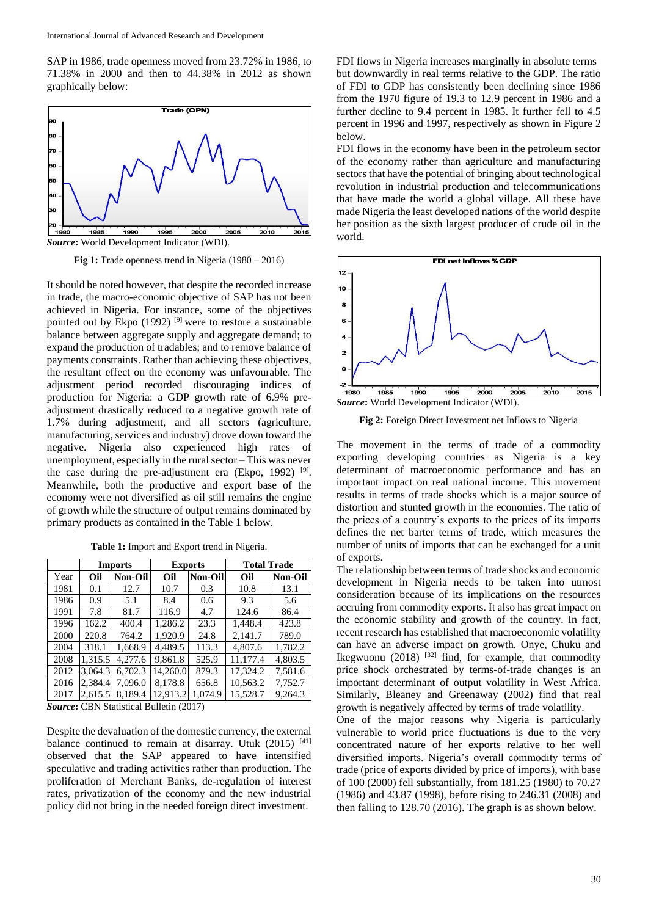SAP in 1986, trade openness moved from 23.72% in 1986, to 71.38% in 2000 and then to 44.38% in 2012 as shown graphically below:



*Source***:** World Development Indicator (WDI).

**Fig 1:** Trade openness trend in Nigeria (1980 – 2016)

It should be noted however, that despite the recorded increase in trade, the macro-economic objective of SAP has not been achieved in Nigeria. For instance, some of the objectives pointed out by Ekpo  $(1992)$  <sup>[9]</sup> were to restore a sustainable balance between aggregate supply and aggregate demand; to expand the production of tradables; and to remove balance of payments constraints. Rather than achieving these objectives, the resultant effect on the economy was unfavourable. The adjustment period recorded discouraging indices of production for Nigeria: a GDP growth rate of 6.9% preadjustment drastically reduced to a negative growth rate of 1.7% during adjustment, and all sectors (agriculture, manufacturing, services and industry) drove down toward the negative. Nigeria also experienced high rates of unemployment, especially in the rural sector – This was never the case during the pre-adjustment era (Ekpo, 1992)  $[9]$ . Meanwhile, both the productive and export base of the economy were not diversified as oil still remains the engine of growth while the structure of output remains dominated by primary products as contained in the Table 1 below.

**Table 1:** Import and Export trend in Nigeria.

|      | <b>Imports</b> |                | <b>Exports</b> |                | <b>Total Trade</b> |                |
|------|----------------|----------------|----------------|----------------|--------------------|----------------|
| Year | Oil            | <b>Non-Oil</b> | Oil            | <b>Non-Oil</b> | Oil                | <b>Non-Oil</b> |
| 1981 | 0.1            | 12.7           | 10.7           | 0.3            | 10.8               | 13.1           |
| 1986 | 0.9            | 5.1            | 8.4            | 0.6            | 9.3                | 5.6            |
| 1991 | 7.8            | 81.7           | 116.9          | 4.7            | 124.6              | 86.4           |
| 1996 | 162.2          | 400.4          | 1.286.2        | 23.3           | 1.448.4            | 423.8          |
| 2000 | 220.8          | 764.2          | 1.920.9        | 24.8           | 2.141.7            | 789.0          |
| 2004 | 318.1          | 1.668.9        | 4.489.5        | 113.3          | 4,807.6            | 1.782.2        |
| 2008 | 1,315.5        | 4,277.6        | 9.861.8        | 525.9          | 11.177.4           | 4,803.5        |
| 2012 | 3,064.3        | 6,702.3        | 14.260.0       | 879.3          | 17,324.2           | 7,581.6        |
| 2016 | 2.384.4        | 7.096.0        | 8.178.8        | 656.8          | 10,563.2           | 7,752.7        |
| 2017 | 2,615.5        | 8.189.4        | 12,913.2       | 1,074.9        | 15,528.7           | 9,264.3        |

*Source***:** CBN Statistical Bulletin (2017)

Despite the devaluation of the domestic currency, the external balance continued to remain at disarray. Utuk (2015) [41] observed that the SAP appeared to have intensified speculative and trading activities rather than production. The proliferation of Merchant Banks, de-regulation of interest rates, privatization of the economy and the new industrial policy did not bring in the needed foreign direct investment.

FDI flows in Nigeria increases marginally in absolute terms but downwardly in real terms relative to the GDP. The ratio of FDI to GDP has consistently been declining since 1986 from the 1970 figure of 19.3 to 12.9 percent in 1986 and a further decline to 9.4 percent in 1985. It further fell to 4.5 percent in 1996 and 1997, respectively as shown in Figure 2 below.

FDI flows in the economy have been in the petroleum sector of the economy rather than agriculture and manufacturing sectors that have the potential of bringing about technological revolution in industrial production and telecommunications that have made the world a global village. All these have made Nigeria the least developed nations of the world despite her position as the sixth largest producer of crude oil in the world.



**Fig 2:** Foreign Direct Investment net Inflows to Nigeria

The movement in the terms of trade of a commodity exporting developing countries as Nigeria is a key determinant of macroeconomic performance and has an important impact on real national income. This movement results in terms of trade shocks which is a major source of distortion and stunted growth in the economies. The ratio of the prices of a country's exports to the prices of its imports defines the net barter terms of trade, which measures the number of units of imports that can be exchanged for a unit of exports.

The relationship between terms of trade shocks and economic development in Nigeria needs to be taken into utmost consideration because of its implications on the resources accruing from commodity exports. It also has great impact on the economic stability and growth of the country. In fact, recent research has established that macroeconomic volatility can have an adverse impact on growth. Onye, Chuku and Ikegwuonu (2018)  $^{[32]}$  find, for example, that commodity price shock orchestrated by terms-of-trade changes is an important determinant of output volatility in West Africa. Similarly, Bleaney and Greenaway (2002) find that real growth is negatively affected by terms of trade volatility.

One of the major reasons why Nigeria is particularly vulnerable to world price fluctuations is due to the very concentrated nature of her exports relative to her well diversified imports. Nigeria's overall commodity terms of trade (price of exports divided by price of imports), with base of 100 (2000) fell substantially, from 181.25 (1980) to 70.27 (1986) and 43.87 (1998), before rising to 246.31 (2008) and then falling to 128.70 (2016). The graph is as shown below.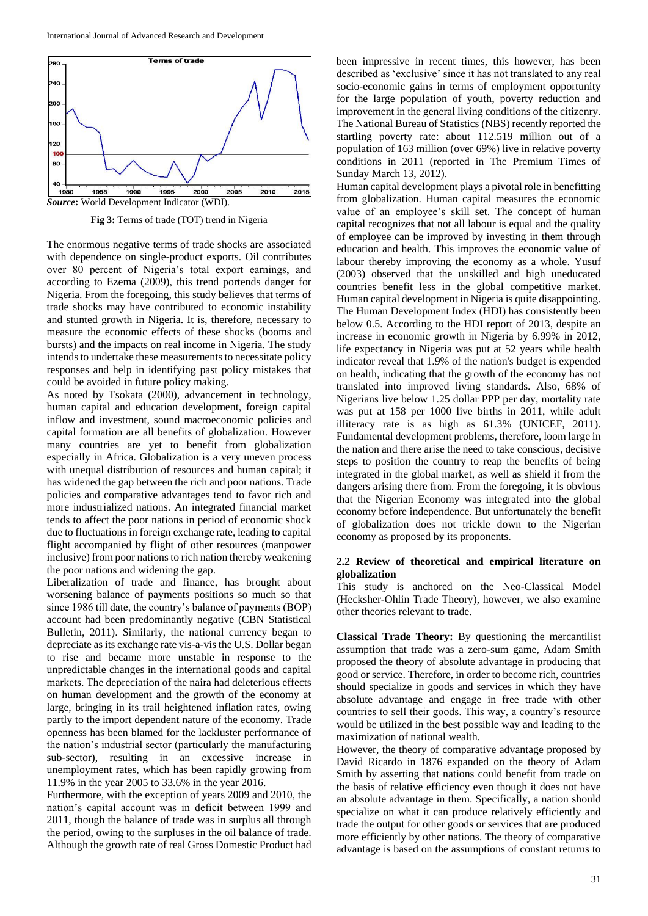

**Fig 3:** Terms of trade (TOT) trend in Nigeria

The enormous negative terms of trade shocks are associated with dependence on single-product exports. Oil contributes over 80 percent of Nigeria's total export earnings, and according to Ezema (2009), this trend portends danger for Nigeria. From the foregoing, this study believes that terms of trade shocks may have contributed to economic instability and stunted growth in Nigeria. It is, therefore, necessary to measure the economic effects of these shocks (booms and bursts) and the impacts on real income in Nigeria. The study intends to undertake these measurements to necessitate policy responses and help in identifying past policy mistakes that could be avoided in future policy making.

As noted by Tsokata (2000), advancement in technology, human capital and education development, foreign capital inflow and investment, sound macroeconomic policies and capital formation are all benefits of globalization. However many countries are yet to benefit from globalization especially in Africa. Globalization is a very uneven process with unequal distribution of resources and human capital; it has widened the gap between the rich and poor nations. Trade policies and comparative advantages tend to favor rich and more industrialized nations. An integrated financial market tends to affect the poor nations in period of economic shock due to fluctuations in foreign exchange rate, leading to capital flight accompanied by flight of other resources (manpower inclusive) from poor nations to rich nation thereby weakening the poor nations and widening the gap.

Liberalization of trade and finance, has brought about worsening balance of payments positions so much so that since 1986 till date, the country's balance of payments (BOP) account had been predominantly negative (CBN Statistical Bulletin, 2011). Similarly, the national currency began to depreciate as its exchange rate vis-a-vis the U.S. Dollar began to rise and became more unstable in response to the unpredictable changes in the international goods and capital markets. The depreciation of the naira had deleterious effects on human development and the growth of the economy at large, bringing in its trail heightened inflation rates, owing partly to the import dependent nature of the economy. Trade openness has been blamed for the lackluster performance of the nation's industrial sector (particularly the manufacturing sub-sector), resulting in an excessive increase in unemployment rates, which has been rapidly growing from 11.9% in the year 2005 to 33.6% in the year 2016.

Furthermore, with the exception of years 2009 and 2010, the nation's capital account was in deficit between 1999 and 2011, though the balance of trade was in surplus all through the period, owing to the surpluses in the oil balance of trade. Although the growth rate of real Gross Domestic Product had

been impressive in recent times, this however, has been described as 'exclusive' since it has not translated to any real socio-economic gains in terms of employment opportunity for the large population of youth, poverty reduction and improvement in the general living conditions of the citizenry. The National Bureau of Statistics (NBS) recently reported the startling poverty rate: about 112.519 million out of a population of 163 million (over 69%) live in relative poverty conditions in 2011 (reported in The Premium Times of Sunday March 13, 2012).

Human capital development plays a pivotal role in benefitting from globalization. Human capital measures the economic value of an employee's skill set. The concept of human capital recognizes that not all labour is equal and the quality of employee can be improved by investing in them through education and health. This improves the economic value of labour thereby improving the economy as a whole. Yusuf (2003) observed that the unskilled and high uneducated countries benefit less in the global competitive market. Human capital development in Nigeria is quite disappointing. The Human Development Index (HDI) has consistently been below 0.5. According to the HDI report of 2013, despite an increase in economic growth in Nigeria by 6.99% in 2012, life expectancy in Nigeria was put at 52 years while health indicator reveal that 1.9% of the nation's budget is expended on health, indicating that the growth of the economy has not translated into improved living standards. Also, 68% of Nigerians live below 1.25 dollar PPP per day, mortality rate was put at 158 per 1000 live births in 2011, while adult illiteracy rate is as high as 61.3% (UNICEF, 2011). Fundamental development problems, therefore, loom large in the nation and there arise the need to take conscious, decisive steps to position the country to reap the benefits of being integrated in the global market, as well as shield it from the dangers arising there from. From the foregoing, it is obvious that the Nigerian Economy was integrated into the global economy before independence. But unfortunately the benefit of globalization does not trickle down to the Nigerian economy as proposed by its proponents.

### **2.2 Review of theoretical and empirical literature on globalization**

This study is anchored on the Neo-Classical Model (Hecksher-Ohlin Trade Theory), however, we also examine other theories relevant to trade.

**Classical Trade Theory:** By questioning the mercantilist assumption that trade was a zero-sum game, Adam Smith proposed the theory of absolute advantage in producing that good or service. Therefore, in order to become rich, countries should specialize in goods and services in which they have absolute advantage and engage in free trade with other countries to sell their goods. This way, a country's resource would be utilized in the best possible way and leading to the maximization of national wealth.

However, the theory of comparative advantage proposed by David Ricardo in 1876 expanded on the theory of Adam Smith by asserting that nations could benefit from trade on the basis of relative efficiency even though it does not have an absolute advantage in them. Specifically, a nation should specialize on what it can produce relatively efficiently and trade the output for other goods or services that are produced more efficiently by other nations. The theory of comparative advantage is based on the assumptions of constant returns to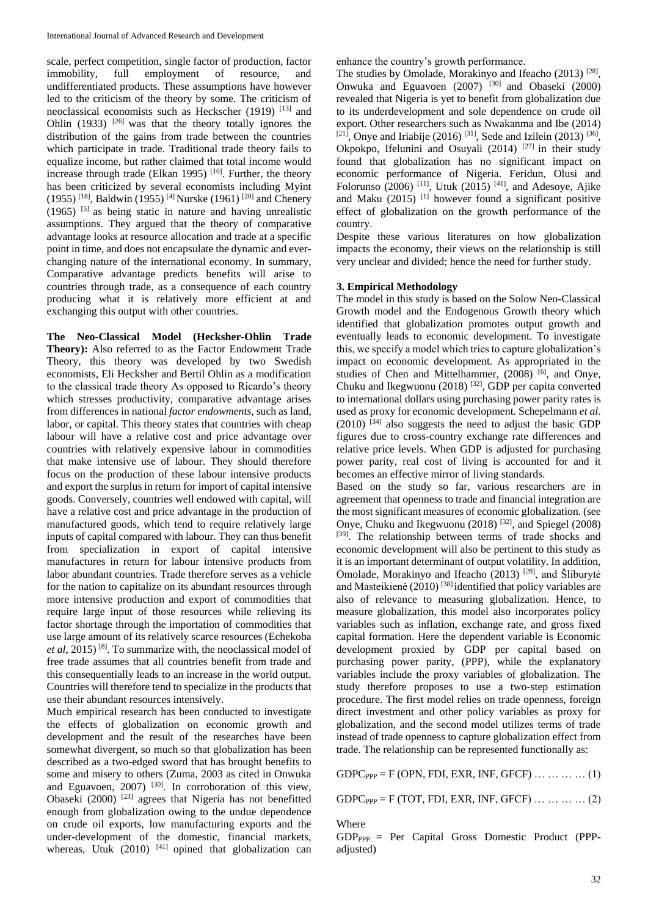scale, perfect competition, single factor of production, factor immobility, full employment of resource, and undifferentiated products. These assumptions have however led to the criticism of the theory by some. The criticism of neoclassical economists such as Heckscher (1919) [13] and Ohlin (1933)  $[26]$  was that the theory totally ignores the distribution of the gains from trade between the countries which participate in trade. Traditional trade theory fails to equalize income, but rather claimed that total income would increase through trade (Elkan 1995)  $[10]$ . Further, the theory has been criticized by several economists including Myint (1955) <sup>[18]</sup>, Baldwin (1955)<sup>[4]</sup> Nurske (1961)<sup>[20]</sup> and Chenery  $(1965)$  <sup>[5]</sup> as being static in nature and having unrealistic assumptions. They argued that the theory of comparative advantage looks at resource allocation and trade at a specific point in time, and does not encapsulate the dynamic and everchanging nature of the international economy. In summary, Comparative advantage predicts benefits will arise to countries through trade, as a consequence of each country producing what it is relatively more efficient at and exchanging this output with other countries.

**The Neo-Classical Model (Hecksher-Ohlin Trade Theory):** Also referred to as the Factor Endowment Trade Theory, this theory was developed by two Swedish economists, Eli Hecksher and Bertil Ohlin as a modification to the classical trade theory As opposed to Ricardo's theory which stresses productivity, comparative advantage arises from differences in national *factor endowments*, such as land, labor, or capital. This theory states that countries with cheap labour will have a relative cost and price advantage over countries with relatively expensive labour in commodities that make intensive use of labour. They should therefore focus on the production of these labour intensive products and export the surplus in return for import of capital intensive goods. Conversely, countries well endowed with capital, will have a relative cost and price advantage in the production of manufactured goods, which tend to require relatively large inputs of capital compared with labour. They can thus benefit from specialization in export of capital intensive manufactures in return for labour intensive products from labor abundant countries. Trade therefore serves as a vehicle for the nation to capitalize on its abundant resources through more intensive production and export of commodities that require large input of those resources while relieving its factor shortage through the importation of commodities that use large amount of its relatively scarce resources (Echekoba *et al*, 2015) [8]. To summarize with, the neoclassical model of free trade assumes that all countries benefit from trade and this consequentially leads to an increase in the world output. Countries will therefore tend to specialize in the products that use their abundant resources intensively.

Much empirical research has been conducted to investigate the effects of globalization on economic growth and development and the result of the researches have been somewhat divergent, so much so that globalization has been described as a two-edged sword that has brought benefits to some and misery to others (Zuma, 2003 as cited in Onwuka and Eguavoen, 2007) [30]. In corroboration of this view, Obaseki (2000) [23] agrees that Nigeria has not benefitted enough from globalization owing to the undue dependence on crude oil exports, low manufacturing exports and the under-development of the domestic, financial markets, whereas, Utuk  $(2010)$ <sup>[41]</sup> opined that globalization can

enhance the country's growth performance.

The studies by Omolade, Morakinyo and Ifeacho  $(2013)$ <sup>[28]</sup>, Onwuka and Eguavoen (2007) [30] and Obaseki (2000) revealed that Nigeria is yet to benefit from globalization due to its underdevelopment and sole dependence on crude oil export. Other researchers such as Nwakanma and Ibe (2014)  $[21]$ , Onye and Iriabije (2016)  $[31]$ , Sede and Izilein (2013)  $[36]$ , Okpokpo, Ifelunini and Osuyali (2014)  $[27]$  in their study found that globalization has no significant impact on economic performance of Nigeria. Feridun, Olusi and Folorunso (2006) <sup>[11]</sup>, Utuk (2015)<sup>[41]</sup>, and Adesoye, Ajike and Maku  $(2015)$ <sup>[1]</sup> however found a significant positive effect of globalization on the growth performance of the country.

Despite these various literatures on how globalization impacts the economy, their views on the relationship is still very unclear and divided; hence the need for further study.

## **3. Empirical Methodology**

The model in this study is based on the Solow Neo-Classical Growth model and the Endogenous Growth theory which identified that globalization promotes output growth and eventually leads to economic development. To investigate this, we specify a model which tries to capture globalization's impact on economic development. As appropriated in the studies of Chen and Mittelhammer, (2008) <sup>[6]</sup>, and Onye, Chuku and Ikegwuonu (2018) [32], GDP per capita converted to international dollars using purchasing power parity rates is used as proxy for economic development. Schepelmann *et al*.  $(2010)$  [34] also suggests the need to adjust the basic GDP figures due to cross-country exchange rate differences and relative price levels. When GDP is adjusted for purchasing power parity, real cost of living is accounted for and it becomes an effective mirror of living standards.

Based on the study so far, various researchers are in agreement that openness to trade and financial integration are the most significant measures of economic globalization. (see Onye, Chuku and Ikegwuonu (2018) [32], and Spiegel (2008) [39]. The relationship between terms of trade shocks and economic development will also be pertinent to this study as it is an important determinant of output volatility. In addition, Omolade, Morakinyo and Ifeacho (2013) [28], and Šliburytė and Masteikienė (2010) [38] identified that policy variables are also of relevance to measuring globalization. Hence, to measure globalization, this model also incorporates policy variables such as inflation, exchange rate, and gross fixed capital formation. Here the dependent variable is Economic development proxied by GDP per capital based on purchasing power parity, (PPP), while the explanatory variables include the proxy variables of globalization. The study therefore proposes to use a two-step estimation procedure. The first model relies on trade openness, foreign direct investment and other policy variables as proxy for globalization, and the second model utilizes terms of trade instead of trade openness to capture globalization effect from trade. The relationship can be represented functionally as:

 $GDPC_{PPP} = F (OPN, FDI, EXR, INF, GFCF) \dots \dots \dots (1)$ 

 $GDPC_{PPP} = F (TOT, FDI, EXR, INF, GFCF) \dots \dots \dots \dots (2)$ 

Where

 $GDP_{PPP}$  = Per Capital Gross Domestic Product (PPPadjusted)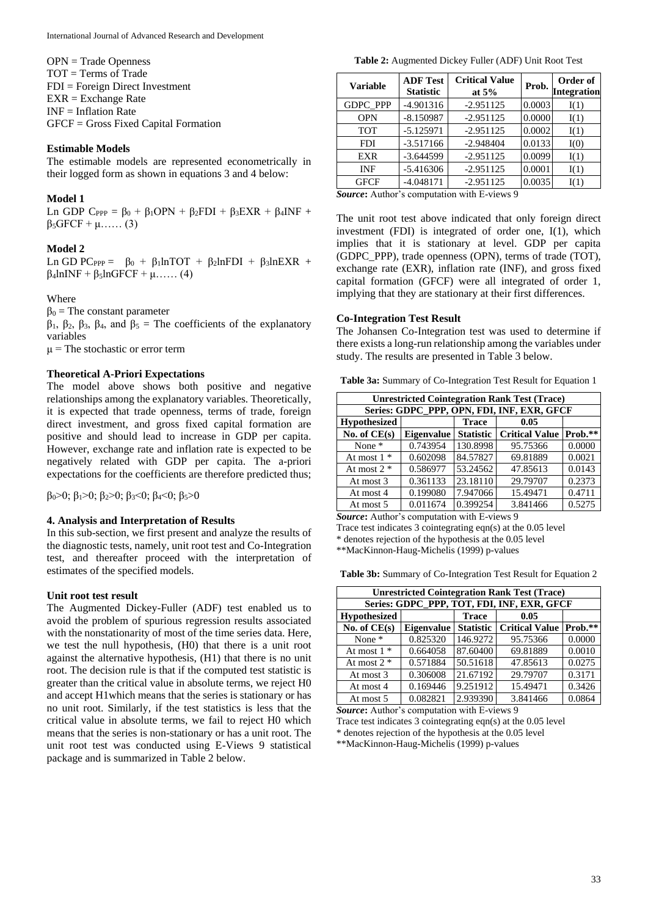OPN = Trade Openness TOT = Terms of Trade FDI = Foreign Direct Investment EXR = Exchange Rate INF = Inflation Rate GFCF = Gross Fixed Capital Formation

#### **Estimable Models**

The estimable models are represented econometrically in their logged form as shown in equations 3 and 4 below:

#### **Model 1**

Ln GDP  $C_{PPP} = \beta_0 + \beta_1 OPN + \beta_2 FDI + \beta_3 EXR + \beta_4 INF +$  $\beta_5$ GFCF + μ…… (3)

### **Model 2**

Ln GD PC<sub>PPP</sub> =  $\beta_0$  +  $\beta_1$ lnTOT +  $\beta_2$ lnFDI +  $\beta_3$ lnEXR +  $\beta_4$ lnINF +  $\beta_5$ lnGFCF + μ…… (4)

#### Where

 $β<sub>0</sub> = The constant parameter$ 

 $β_1$ ,  $β_2$ ,  $β_3$ ,  $β_4$ , and  $β_5$  = The coefficients of the explanatory variables

 $\mu$  = The stochastic or error term

## **Theoretical A-Priori Expectations**

The model above shows both positive and negative relationships among the explanatory variables. Theoretically, it is expected that trade openness, terms of trade, foreign direct investment, and gross fixed capital formation are positive and should lead to increase in GDP per capita. However, exchange rate and inflation rate is expected to be negatively related with GDP per capita. The a-priori expectations for the coefficients are therefore predicted thus;

 $β<sub>0</sub> > 0$ ;  $β<sub>1</sub> > 0$ ;  $β<sub>2</sub> > 0$ ;  $β<sub>3</sub> < 0$ ;  $β<sub>4</sub> < 0$ ;  $β<sub>5</sub> > 0$ 

#### **4. Analysis and Interpretation of Results**

In this sub-section, we first present and analyze the results of the diagnostic tests, namely, unit root test and Co-Integration test, and thereafter proceed with the interpretation of estimates of the specified models.

### **Unit root test result**

The Augmented Dickey-Fuller (ADF) test enabled us to avoid the problem of spurious regression results associated with the nonstationarity of most of the time series data. Here, we test the null hypothesis, (H0) that there is a unit root against the alternative hypothesis, (H1) that there is no unit root. The decision rule is that if the computed test statistic is greater than the critical value in absolute terms, we reject H0 and accept H1which means that the series is stationary or has no unit root. Similarly, if the test statistics is less that the critical value in absolute terms, we fail to reject H0 which means that the series is non-stationary or has a unit root. The unit root test was conducted using E-Views 9 statistical package and is summarized in Table 2 below.

**Table 2:** Augmented Dickey Fuller (ADF) Unit Root Test

| Variable        | <b>ADF Test</b><br><b>Statistic</b> | <b>Critical Value</b><br>at $5%$ | Prob.  | Order of<br>Integration |
|-----------------|-------------------------------------|----------------------------------|--------|-------------------------|
| <b>GDPC PPP</b> | $-4.901316$                         | $-2.951125$                      | 0.0003 | I(1)                    |
| <b>OPN</b>      | $-8.150987$                         | $-2.951125$                      | 0.0000 | I(1)                    |
| <b>TOT</b>      | $-5.125971$                         | $-2.951125$                      | 0.0002 | I(1)                    |
| <b>FDI</b>      | $-3.517166$                         | $-2.948404$                      | 0.0133 | I(0)                    |
| EXR             | $-3.644599$                         | $-2.951125$                      | 0.0099 | I(1)                    |
| <b>INF</b>      | $-5.416306$                         | $-2.951125$                      | 0.0001 | I(1)                    |
| GFCF            | $-4.048171$                         | $-2.951125$                      | 0.0035 | I(1)                    |

*Source***:** Author's computation with E-views 9

The unit root test above indicated that only foreign direct investment (FDI) is integrated of order one, I(1), which implies that it is stationary at level. GDP per capita (GDPC\_PPP), trade openness (OPN), terms of trade (TOT), exchange rate (EXR), inflation rate (INF), and gross fixed capital formation (GFCF) were all integrated of order 1, implying that they are stationary at their first differences.

#### **Co-Integration Test Result**

The Johansen Co-Integration test was used to determine if there exists a long-run relationship among the variables under study. The results are presented in Table 3 below.

**Table 3a:** Summary of Co-Integration Test Result for Equation 1

| <b>Unrestricted Cointegration Rank Test (Trace)</b> |                   |                  |                       |         |  |  |
|-----------------------------------------------------|-------------------|------------------|-----------------------|---------|--|--|
| Series: GDPC_PPP, OPN, FDI, INF, EXR, GFCF          |                   |                  |                       |         |  |  |
| <b>Hypothesized</b>                                 |                   | <b>Trace</b>     | 0.05                  |         |  |  |
| No. of $CE(s)$                                      | <b>Eigenvalue</b> | <b>Statistic</b> | <b>Critical Value</b> | Prob.** |  |  |
| None $*$                                            | 0.743954          | 130.8998         | 95.75366              | 0.0000  |  |  |
| At most $1 *$                                       | 0.602098          | 84.57827         | 69.81889              | 0.0021  |  |  |
| At most $2 *$                                       | 0.586977          | 53.24562         | 47.85613              | 0.0143  |  |  |
| At most 3                                           | 0.361133          | 23.18110         | 29.79707              | 0.2373  |  |  |
| At most 4                                           | 0.199080          | 7.947066         | 15.49471              | 0.4711  |  |  |
| At most 5                                           | 0.011674          | 0.399254         | 3.841466              | 0.5275  |  |  |

*Source***:** Author's computation with E-views 9

Trace test indicates 3 cointegrating eqn(s) at the 0.05 level

\* denotes rejection of the hypothesis at the 0.05 level

\*\*MacKinnon-Haug-Michelis (1999) p-values

**Table 3b:** Summary of Co-Integration Test Result for Equation 2

| <b>Unrestricted Cointegration Rank Test (Trace)</b> |                   |                  |                       |         |  |  |
|-----------------------------------------------------|-------------------|------------------|-----------------------|---------|--|--|
| Series: GDPC_PPP, TOT, FDI, INF, EXR, GFCF          |                   |                  |                       |         |  |  |
| <b>Hypothesized</b>                                 |                   | <b>Trace</b>     | 0.05                  |         |  |  |
| No. of $CE(s)$                                      | <b>Eigenvalue</b> | <b>Statistic</b> | <b>Critical Value</b> | Prob.** |  |  |
| None $*$                                            | 0.825320          | 146.9272         | 95.75366              | 0.0000  |  |  |
| At most $1 *$                                       | 0.664058          | 87.60400         | 69.81889              | 0.0010  |  |  |
| At most $2 *$                                       | 0.571884          | 50.51618         | 47.85613              | 0.0275  |  |  |
| At most 3                                           | 0.306008          | 21.67192         | 29.79707              | 0.3171  |  |  |
| At most 4                                           | 0.169446          | 9.251912         | 15.49471              | 0.3426  |  |  |
| At most 5                                           | 0.082821          | 2.939390         | 3.841466              | 0.0864  |  |  |

*Source***:** Author's computation with E-views 9

Trace test indicates 3 cointegrating eqn(s) at the 0.05 level

\*\*MacKinnon-Haug-Michelis (1999) p-values

<sup>\*</sup> denotes rejection of the hypothesis at the 0.05 level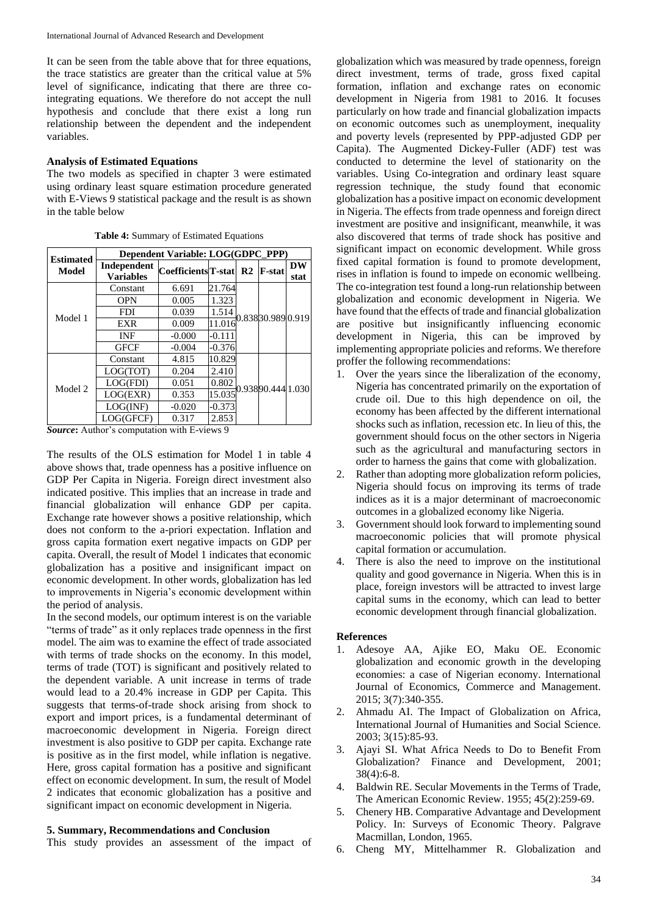It can be seen from the table above that for three equations, the trace statistics are greater than the critical value at 5% level of significance, indicating that there are three cointegrating equations. We therefore do not accept the null hypothesis and conclude that there exist a long run relationship between the dependent and the independent variables.

#### **Analysis of Estimated Equations**

The two models as specified in chapter 3 were estimated using ordinary least square estimation procedure generated with E-Views 9 statistical package and the result is as shown in the table below

| <b>Estimated</b> | Dependent Variable: LOG(GDPC_PPP) |                                    |          |                   |                   |           |  |
|------------------|-----------------------------------|------------------------------------|----------|-------------------|-------------------|-----------|--|
| Model            | Independent                       | Coefficients <sup>T</sup> -stat R2 |          |                   | <b>F-stat</b>     | <b>DW</b> |  |
|                  | <b>Variables</b>                  |                                    |          |                   |                   | stat      |  |
|                  | Constant                          | 6.691                              | 21.764   |                   | 0.83830.989 0.919 |           |  |
|                  | <b>OPN</b>                        | 0.005                              | 1.323    |                   |                   |           |  |
| Model 1          | <b>FDI</b>                        | 0.039                              | 1.514    |                   |                   |           |  |
|                  | <b>EXR</b>                        | 0.009                              | 11.016   |                   |                   |           |  |
|                  | INF                               | $-0.000$                           | $-0.111$ |                   |                   |           |  |
|                  | <b>GFCF</b>                       | $-0.004$                           | $-0.376$ |                   |                   |           |  |
|                  | Constant                          | 4.815                              | 10.829   | 0.93890.444 1.030 |                   |           |  |
|                  | LOG(TOT)                          | 0.204                              | 2.410    |                   |                   |           |  |
| Model 2          | LOG(FDI)                          | 0.051                              | 0.802    |                   |                   |           |  |
|                  | LOG(EXR)                          | 0.353                              | 15.035   |                   |                   |           |  |
|                  | LOG(INF)                          | $-0.020$                           | $-0.373$ |                   |                   |           |  |
|                  | LOG(GFCF)                         | 0.317                              | 2.853    |                   |                   |           |  |

**Table 4:** Summary of Estimated Equations

*Source***:** Author's computation with E-views 9

The results of the OLS estimation for Model 1 in table 4 above shows that, trade openness has a positive influence on GDP Per Capita in Nigeria. Foreign direct investment also indicated positive. This implies that an increase in trade and financial globalization will enhance GDP per capita. Exchange rate however shows a positive relationship, which does not conform to the a-priori expectation. Inflation and gross capita formation exert negative impacts on GDP per capita. Overall, the result of Model 1 indicates that economic globalization has a positive and insignificant impact on economic development. In other words, globalization has led to improvements in Nigeria's economic development within the period of analysis.

In the second models, our optimum interest is on the variable "terms of trade" as it only replaces trade openness in the first model. The aim was to examine the effect of trade associated with terms of trade shocks on the economy. In this model, terms of trade (TOT) is significant and positively related to the dependent variable. A unit increase in terms of trade would lead to a 20.4% increase in GDP per Capita. This suggests that terms-of-trade shock arising from shock to export and import prices, is a fundamental determinant of macroeconomic development in Nigeria. Foreign direct investment is also positive to GDP per capita. Exchange rate is positive as in the first model, while inflation is negative. Here, gross capital formation has a positive and significant effect on economic development. In sum, the result of Model 2 indicates that economic globalization has a positive and significant impact on economic development in Nigeria.

#### **5. Summary, Recommendations and Conclusion**

This study provides an assessment of the impact of

globalization which was measured by trade openness, foreign direct investment, terms of trade, gross fixed capital formation, inflation and exchange rates on economic development in Nigeria from 1981 to 2016. It focuses particularly on how trade and financial globalization impacts on economic outcomes such as unemployment, inequality and poverty levels (represented by PPP-adjusted GDP per Capita). The Augmented Dickey-Fuller (ADF) test was conducted to determine the level of stationarity on the variables. Using Co-integration and ordinary least square regression technique, the study found that economic globalization has a positive impact on economic development in Nigeria. The effects from trade openness and foreign direct investment are positive and insignificant, meanwhile, it was also discovered that terms of trade shock has positive and significant impact on economic development. While gross fixed capital formation is found to promote development, rises in inflation is found to impede on economic wellbeing. The co-integration test found a long-run relationship between globalization and economic development in Nigeria. We have found that the effects of trade and financial globalization are positive but insignificantly influencing economic development in Nigeria, this can be improved by implementing appropriate policies and reforms. We therefore proffer the following recommendations:

- 1. Over the years since the liberalization of the economy, Nigeria has concentrated primarily on the exportation of crude oil. Due to this high dependence on oil, the economy has been affected by the different international shocks such as inflation, recession etc. In lieu of this, the government should focus on the other sectors in Nigeria such as the agricultural and manufacturing sectors in order to harness the gains that come with globalization.
- 2. Rather than adopting more globalization reform policies, Nigeria should focus on improving its terms of trade indices as it is a major determinant of macroeconomic outcomes in a globalized economy like Nigeria.
- 3. Government should look forward to implementing sound macroeconomic policies that will promote physical capital formation or accumulation.
- 4. There is also the need to improve on the institutional quality and good governance in Nigeria. When this is in place, foreign investors will be attracted to invest large capital sums in the economy, which can lead to better economic development through financial globalization.

#### **References**

- 1. Adesoye AA, Ajike EO, Maku OE. Economic globalization and economic growth in the developing economies: a case of Nigerian economy. International Journal of Economics, Commerce and Management. 2015; 3(7):340-355.
- 2. Ahmadu AI. The Impact of Globalization on Africa, International Journal of Humanities and Social Science. 2003; 3(15):85-93.
- 3. Ajayi SI. What Africa Needs to Do to Benefit From Globalization? Finance and Development, 2001;  $38(4) \cdot 6 - 8$
- 4. Baldwin RE. Secular Movements in the Terms of Trade, The American Economic Review. 1955; 45(2):259-69.
- 5. Chenery HB. Comparative Advantage and Development Policy. In: Surveys of Economic Theory. Palgrave Macmillan, London, 1965.
- 6. Cheng MY, Mittelhammer R. Globalization and